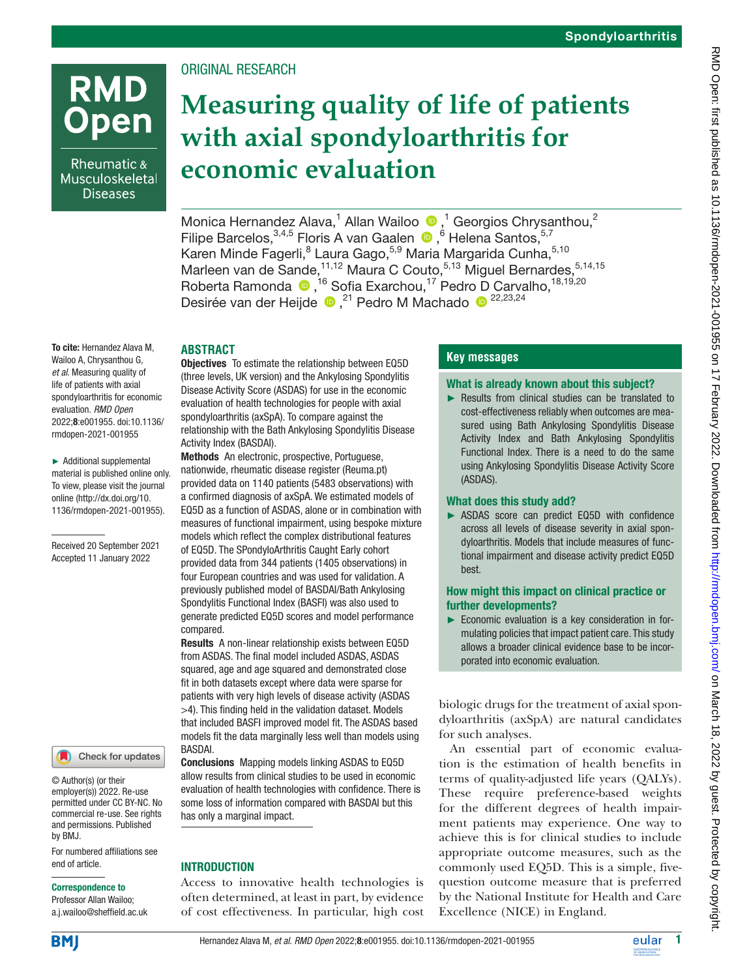# **RMD** Open

Rheumatic & Musculoskeletal **Diseases** 

## ORIGINAL RESEARCH

## **Measuring quality of life of patients with axial spondyloarthritis for economic evaluation**

MonicaHernandez Alava,<sup>1</sup> Allan Wailoo  $\bullet$ ,<sup>1</sup> Georgios Chrysanthou,<sup>2</sup> FilipeBarcelos, 3,4,5 Floris A van Gaalen (D, 6 Helena Santos, 5,7) Karen Minde Fagerli, <sup>8</sup> Laura Gago, <sup>5,9</sup> Maria Margarida Cunha, <sup>5,10</sup> Marleen van de Sande, <sup>11,12</sup> Maura C Couto, <sup>5,13</sup> Miguel Bernardes, <sup>5,14,15</sup> Roberta Ramonda (a),<sup>16</sup> Sofia Exarchou,<sup>17</sup> Pedro D Carvalho,<sup>18,19,20</sup> Desirée van der Heijde ... 21 Pedro M Machado ... 22,23,24

## **ABSTRACT**

To cite: Hernandez Alava M, Wailoo A, Chrysanthou G, *et al*. Measuring quality of life of patients with axial spondyloarthritis for economic evaluation. *RMD Open* 2022;8:e001955. doi:10.1136/ rmdopen-2021-001955

► Additional supplemental material is published online only. To view, please visit the journal online ([http://dx.doi.org/10.](http://dx.doi.org/10.1136/rmdopen-2021-001955) [1136/rmdopen-2021-001955\)](http://dx.doi.org/10.1136/rmdopen-2021-001955).

Received 20 September 2021 Accepted 11 January 2022



© Author(s) (or their employer(s)) 2022. Re-use permitted under CC BY-NC. No commercial re-use. See rights and permissions. Published by BMJ.

For numbered affiliations see end of article.

#### Correspondence to

Professor Allan Wailoo; a.j.wailoo@sheffield.ac.uk Objectives To estimate the relationship between EQ5D (three levels, UK version) and the Ankylosing Spondylitis Disease Activity Score (ASDAS) for use in the economic evaluation of health technologies for people with axial spondyloarthritis (axSpA). To compare against the relationship with the Bath Ankylosing Spondylitis Disease Activity Index (BASDAI).

Methods An electronic, prospective, Portuguese, nationwide, rheumatic disease register (Reuma.pt) provided data on 1140 patients (5483 observations) with a confirmed diagnosis of axSpA. We estimated models of EQ5D as a function of ASDAS, alone or in combination with measures of functional impairment, using bespoke mixture models which reflect the complex distributional features of EQ5D. The SPondyloArthritis Caught Early cohort provided data from 344 patients (1405 observations) in four European countries and was used for validation. A previously published model of BASDAI/Bath Ankylosing Spondylitis Functional Index (BASFI) was also used to generate predicted EQ5D scores and model performance compared.

Results A non-linear relationship exists between EQ5D from ASDAS. The final model included ASDAS, ASDAS squared, age and age squared and demonstrated close fit in both datasets except where data were sparse for patients with very high levels of disease activity (ASDAS >4). This finding held in the validation dataset. Models that included BASFI improved model fit. The ASDAS based models fit the data marginally less well than models using BASDAI.

Conclusions Mapping models linking ASDAS to EQ5D allow results from clinical studies to be used in economic evaluation of health technologies with confidence. There is some loss of information compared with BASDAI but this has only a marginal impact.

#### **INTRODUCTION**

Access to innovative health technologies is often determined, at least in part, by evidence of cost effectiveness. In particular, high cost

## **Key messages**

#### What is already known about this subject?

► Results from clinical studies can be translated to cost-effectiveness reliably when outcomes are measured using Bath Ankylosing Spondylitis Disease Activity Index and Bath Ankylosing Spondylitis Functional Index. There is a need to do the same using Ankylosing Spondylitis Disease Activity Score (ASDAS).

#### What does this study add?

► ASDAS score can predict EQ5D with confidence across all levels of disease severity in axial spondyloarthritis. Models that include measures of functional impairment and disease activity predict EQ5D best.

#### How might this impact on clinical practice or further developments?

► Economic evaluation is a key consideration in formulating policies that impact patient care. This study allows a broader clinical evidence base to be incorporated into economic evaluation.

biologic drugs for the treatment of axial spondyloarthritis (axSpA) are natural candidates for such analyses.

An essential part of economic evaluation is the estimation of health benefits in terms of quality-adjusted life years (QALYs). These require preference-based weights for the different degrees of health impairment patients may experience. One way to achieve this is for clinical studies to include appropriate outcome measures, such as the commonly used EQ5D. This is a simple, fivequestion outcome measure that is preferred by the National Institute for Health and Care Excellence (NICE) in England.

**BM**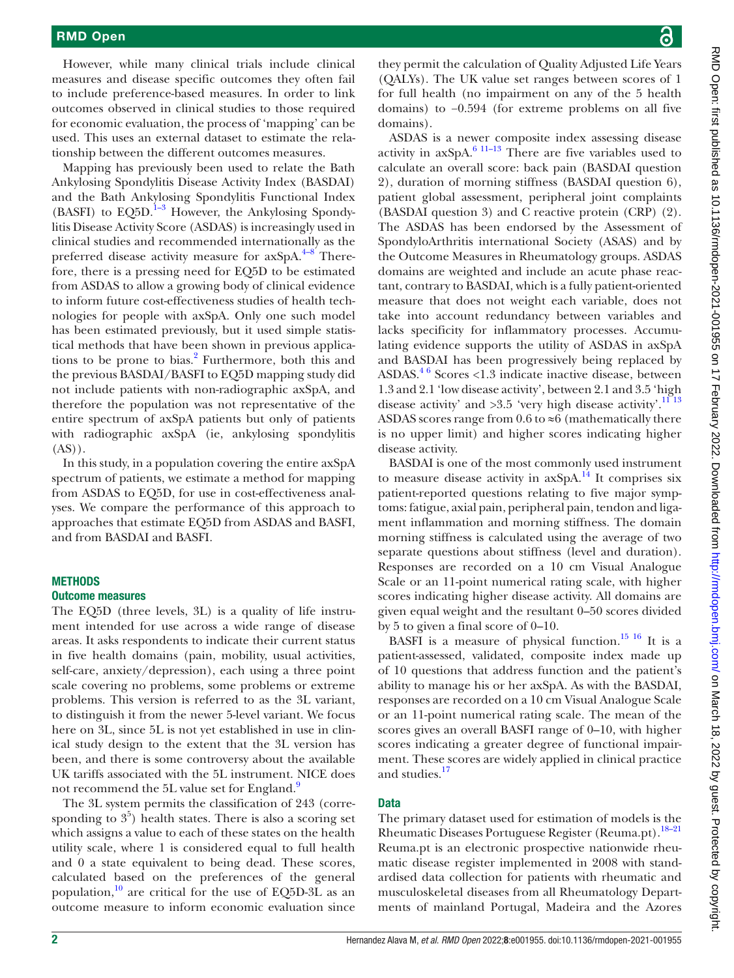#### RMD Open

However, while many clinical trials include clinical measures and disease specific outcomes they often fail to include preference-based measures. In order to link outcomes observed in clinical studies to those required for economic evaluation, the process of 'mapping' can be used. This uses an external dataset to estimate the relationship between the different outcomes measures.

Mapping has previously been used to relate the Bath Ankylosing Spondylitis Disease Activity Index (BASDAI) and the Bath Ankylosing Spondylitis Functional Index (BASFI) to  $EQ5D$ .<sup>1-3</sup> However, the Ankylosing Spondylitis Disease Activity Score (ASDAS) is increasingly used in clinical studies and recommended internationally as the preferred disease activity measure for  $axSpA.<sup>4-8</sup>$  Therefore, there is a pressing need for EQ5D to be estimated from ASDAS to allow a growing body of clinical evidence to inform future cost-effectiveness studies of health technologies for people with axSpA. Only one such model has been estimated previously, but it used simple statistical methods that have been shown in previous applica-tions to be prone to bias.<sup>[2](#page-6-2)</sup> Furthermore, both this and the previous BASDAI/BASFI to EQ5D mapping study did not include patients with non-radiographic axSpA, and therefore the population was not representative of the entire spectrum of axSpA patients but only of patients with radiographic axSpA (ie, ankylosing spondylitis  $(AS)$ ).

In this study, in a population covering the entire axSpA spectrum of patients, we estimate a method for mapping from ASDAS to EQ5D, for use in cost-effectiveness analyses. We compare the performance of this approach to approaches that estimate EQ5D from ASDAS and BASFI, and from BASDAI and BASFI.

#### **METHODS**

#### Outcome measures

The EQ5D (three levels, 3L) is a quality of life instrument intended for use across a wide range of disease areas. It asks respondents to indicate their current status in five health domains (pain, mobility, usual activities, self-care, anxiety/depression), each using a three point scale covering no problems, some problems or extreme problems. This version is referred to as the 3L variant, to distinguish it from the newer 5-level variant. We focus here on 3L, since 5L is not yet established in use in clinical study design to the extent that the 3L version has been, and there is some controversy about the available UK tariffs associated with the 5L instrument. NICE does not recommend the 5L value set for England.<sup>9</sup>

The 3L system permits the classification of 243 (corresponding to  $3<sup>5</sup>$ ) health states. There is also a scoring set which assigns a value to each of these states on the health utility scale, where 1 is considered equal to full health and 0 a state equivalent to being dead. These scores, calculated based on the preferences of the general population, $10$  are critical for the use of EQ5D-3L as an outcome measure to inform economic evaluation since

they permit the calculation of Quality Adjusted Life Years (QALYs). The UK value set ranges between scores of 1 for full health (no impairment on any of the 5 health domains) to −0.594 (for extreme problems on all five domains).

ASDAS is a newer composite index assessing disease activity in  $axSpA$ <sup>6 11–13</sup> There are five variables used to calculate an overall score: back pain (BASDAI question 2), duration of morning stiffness (BASDAI question 6), patient global assessment, peripheral joint complaints (BASDAI question 3) and C reactive protein (CRP) (2). The ASDAS has been endorsed by the Assessment of SpondyloArthritis international Society (ASAS) and by the Outcome Measures in Rheumatology groups. ASDAS domains are weighted and include an acute phase reactant, contrary to BASDAI, which is a fully patient-oriented measure that does not weight each variable, does not take into account redundancy between variables and lacks specificity for inflammatory processes. Accumulating evidence supports the utility of ASDAS in axSpA and BASDAI has been progressively being replaced by ASDAS. $46$  Scores <1.3 indicate inactive disease, between 1.3 and 2.1 'low disease activity', between 2.1 and 3.5 'high disease activity' and  $>3.5$  'very high disease activity'.<sup>11 13</sup> ASDAS scores range from 0.6 to  $\approx$ 6 (mathematically there is no upper limit) and higher scores indicating higher disease activity.

BASDAI is one of the most commonly used instrument to measure disease activity in  $axSpA.<sup>14</sup>$  $axSpA.<sup>14</sup>$  $axSpA.<sup>14</sup>$  It comprises six patient-reported questions relating to five major symptoms: fatigue, axial pain, peripheral pain, tendon and ligament inflammation and morning stiffness. The domain morning stiffness is calculated using the average of two separate questions about stiffness (level and duration). Responses are recorded on a 10 cm Visual Analogue Scale or an 11-point numerical rating scale, with higher scores indicating higher disease activity. All domains are given equal weight and the resultant 0–50 scores divided by 5 to given a final score of 0–10.

BASFI is a measure of physical function.<sup>15 16</sup> It is a patient-assessed, validated, composite index made up of 10 questions that address function and the patient's ability to manage his or her axSpA. As with the BASDAI, responses are recorded on a 10 cm Visual Analogue Scale or an 11-point numerical rating scale. The mean of the scores gives an overall BASFI range of 0–10, with higher scores indicating a greater degree of functional impairment. These scores are widely applied in clinical practice and studies.<sup>17</sup>

#### **Data**

The primary dataset used for estimation of models is the Rheumatic Diseases Portuguese Register (Reuma.pt).[18–21](#page-6-10) Reuma.pt is an electronic prospective nationwide rheumatic disease register implemented in 2008 with standardised data collection for patients with rheumatic and musculoskeletal diseases from all Rheumatology Departments of mainland Portugal, Madeira and the Azores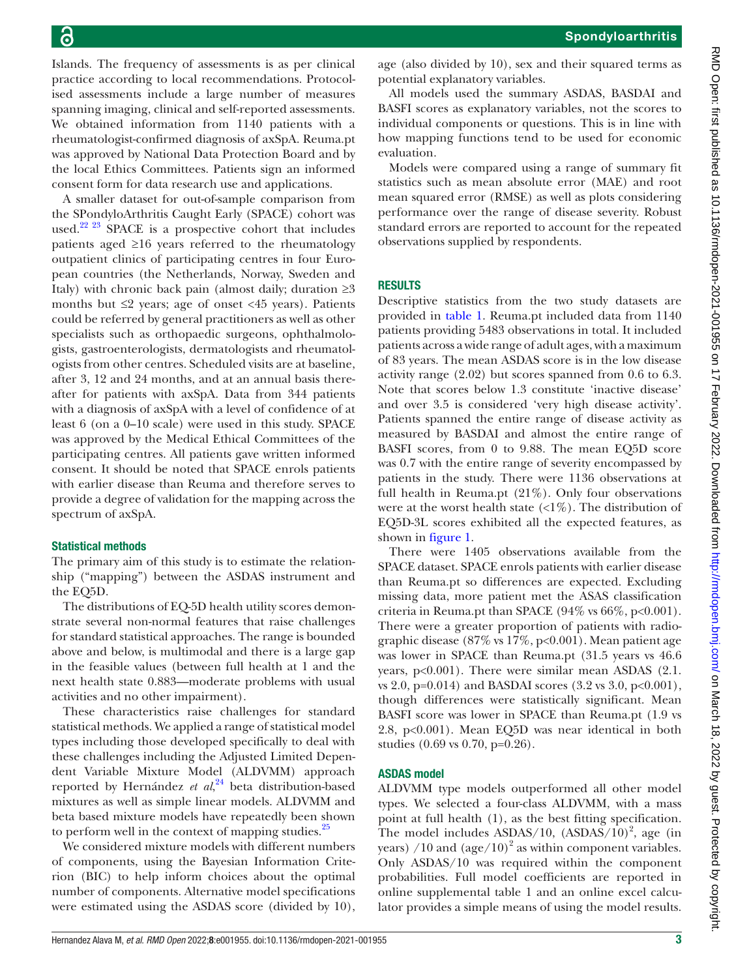Spondyloarthritis

Islands. The frequency of assessments is as per clinical practice according to local recommendations. Protocolised assessments include a large number of measures spanning imaging, clinical and self-reported assessments. We obtained information from 1140 patients with a rheumatologist-confirmed diagnosis of axSpA. Reuma.pt was approved by National Data Protection Board and by the local Ethics Committees. Patients sign an informed consent form for data research use and applications.

A smaller dataset for out-of-sample comparison from the SPondyloArthritis Caught Early (SPACE) cohort was used.<sup>22 23</sup> SPACE is a prospective cohort that includes patients aged ≥16 years referred to the rheumatology outpatient clinics of participating centres in four European countries (the Netherlands, Norway, Sweden and Italy) with chronic back pain (almost daily; duration  $\geq 3$ months but  $\leq$  years; age of onset  $\leq$  years). Patients could be referred by general practitioners as well as other specialists such as orthopaedic surgeons, ophthalmologists, gastroenterologists, dermatologists and rheumatologists from other centres. Scheduled visits are at baseline, after 3, 12 and 24 months, and at an annual basis thereafter for patients with axSpA. Data from 344 patients with a diagnosis of axSpA with a level of confidence of at least 6 (on a 0–10 scale) were used in this study. SPACE was approved by the Medical Ethical Committees of the participating centres. All patients gave written informed consent. It should be noted that SPACE enrols patients with earlier disease than Reuma and therefore serves to provide a degree of validation for the mapping across the spectrum of axSpA.

#### Statistical methods

The primary aim of this study is to estimate the relationship ("mapping") between the ASDAS instrument and the EQ5D.

The distributions of EQ-5D health utility scores demonstrate several non-normal features that raise challenges for standard statistical approaches. The range is bounded above and below, is multimodal and there is a large gap in the feasible values (between full health at 1 and the next health state 0.883—moderate problems with usual activities and no other impairment).

These characteristics raise challenges for standard statistical methods. We applied a range of statistical model types including those developed specifically to deal with these challenges including the Adjusted Limited Dependent Variable Mixture Model (ALDVMM) approach reported by Hernández *et al*, [24](#page-7-1) beta distribution-based mixtures as well as simple linear models. ALDVMM and beta based mixture models have repeatedly been shown to perform well in the context of mapping studies.<sup>25</sup>

We considered mixture models with different numbers of components, using the Bayesian Information Criterion (BIC) to help inform choices about the optimal number of components. Alternative model specifications were estimated using the ASDAS score (divided by 10),

age (also divided by 10), sex and their squared terms as potential explanatory variables.

All models used the summary ASDAS, BASDAI and BASFI scores as explanatory variables, not the scores to individual components or questions. This is in line with how mapping functions tend to be used for economic evaluation.

Models were compared using a range of summary fit statistics such as mean absolute error (MAE) and root mean squared error (RMSE) as well as plots considering performance over the range of disease severity. Robust standard errors are reported to account for the repeated observations supplied by respondents.

#### RESULTS

Descriptive statistics from the two study datasets are provided in [table](#page-3-0) 1. Reuma.pt included data from 1140 patients providing 5483 observations in total. It included patients across a wide range of adult ages, with a maximum of 83 years. The mean ASDAS score is in the low disease activity range (2.02) but scores spanned from 0.6 to 6.3. Note that scores below 1.3 constitute 'inactive disease' and over 3.5 is considered 'very high disease activity'. Patients spanned the entire range of disease activity as measured by BASDAI and almost the entire range of BASFI scores, from 0 to 9.88. The mean EQ5D score was 0.7 with the entire range of severity encompassed by patients in the study. There were 1136 observations at full health in Reuma.pt (21%). Only four observations were at the worst health state  $\langle \langle 1\% \rangle$ . The distribution of EQ5D-3L scores exhibited all the expected features, as shown in [figure](#page-3-1) 1.

There were 1405 observations available from the SPACE dataset. SPACE enrols patients with earlier disease than Reuma.pt so differences are expected. Excluding missing data, more patient met the ASAS classification criteria in Reuma.pt than SPACE  $(94\% \text{ vs } 66\%, \text{ p} < 0.001)$ . There were a greater proportion of patients with radiographic disease  $(87\% \text{ vs } 17\%, \text{ p<0.001})$ . Mean patient age was lower in SPACE than Reuma.pt (31.5 years vs 46.6 years, p<0.001). There were similar mean ASDAS (2.1. vs 2.0, p=0.014) and BASDAI scores (3.2 vs 3.0, p<0.001), though differences were statistically significant. Mean BASFI score was lower in SPACE than Reuma.pt (1.9 vs 2.8, p<0.001). Mean EQ5D was near identical in both studies (0.69 vs 0.70, p=0.26).

#### ASDAS model

ALDVMM type models outperformed all other model types. We selected a four-class ALDVMM, with a mass point at full health (1), as the best fitting specification. The model includes  $ASDAS/10$ ,  $(ASDAS/10)^2$ , age (in years) /10 and  $(age/10)^2$  as within component variables. Only ASDAS/10 was required within the component probabilities. Full model coefficients are reported in [online supplemental table 1](https://dx.doi.org/10.1136/rmdopen-2021-001955) and an online excel calculator provides a simple means of using the model results.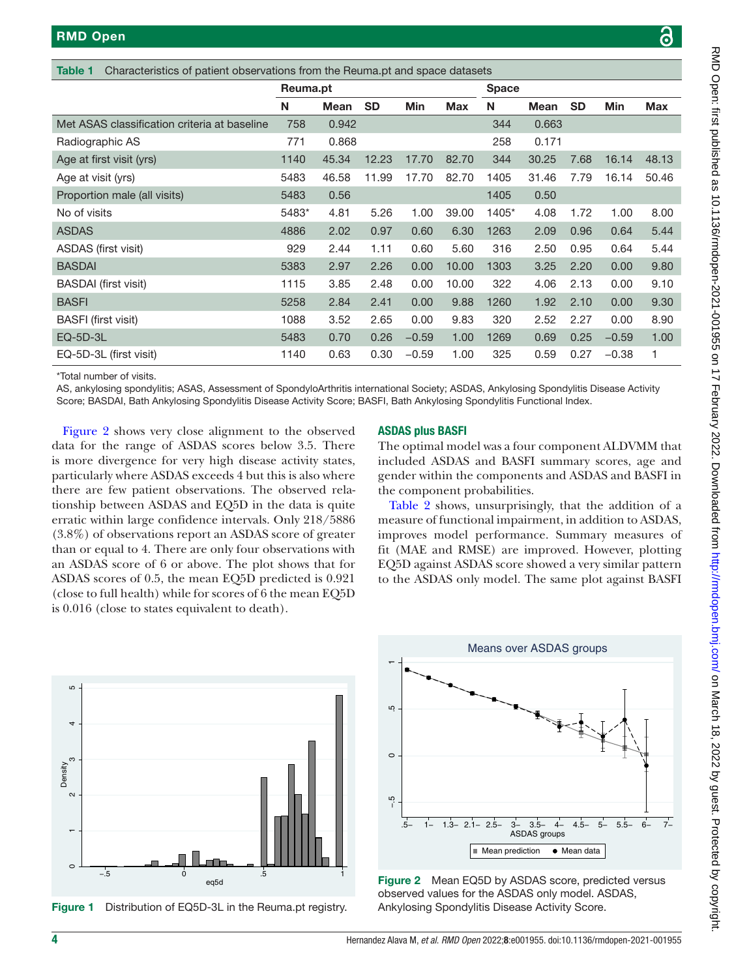<span id="page-3-0"></span>

|                                              | Reuma.pt |       |           |            |            | <b>Space</b> |             |           |            |       |
|----------------------------------------------|----------|-------|-----------|------------|------------|--------------|-------------|-----------|------------|-------|
|                                              | N        | Mean  | <b>SD</b> | <b>Min</b> | <b>Max</b> | N            | <b>Mean</b> | <b>SD</b> | <b>Min</b> | Max   |
| Met ASAS classification criteria at baseline | 758      | 0.942 |           |            |            | 344          | 0.663       |           |            |       |
| Radiographic AS                              | 771      | 0.868 |           |            |            | 258          | 0.171       |           |            |       |
| Age at first visit (yrs)                     | 1140     | 45.34 | 12.23     | 17.70      | 82.70      | 344          | 30.25       | 7.68      | 16.14      | 48.13 |
| Age at visit (yrs)                           | 5483     | 46.58 | 11.99     | 17.70      | 82.70      | 1405         | 31.46       | 7.79      | 16.14      | 50.46 |
| Proportion male (all visits)                 | 5483     | 0.56  |           |            |            | 1405         | 0.50        |           |            |       |
| No of visits                                 | 5483*    | 4.81  | 5.26      | 1.00       | 39.00      | 1405*        | 4.08        | 1.72      | 1.00       | 8.00  |
| <b>ASDAS</b>                                 | 4886     | 2.02  | 0.97      | 0.60       | 6.30       | 1263         | 2.09        | 0.96      | 0.64       | 5.44  |
| ASDAS (first visit)                          | 929      | 2.44  | 1.11      | 0.60       | 5.60       | 316          | 2.50        | 0.95      | 0.64       | 5.44  |
| <b>BASDAI</b>                                | 5383     | 2.97  | 2.26      | 0.00       | 10.00      | 1303         | 3.25        | 2.20      | 0.00       | 9.80  |
| <b>BASDAI</b> (first visit)                  | 1115     | 3.85  | 2.48      | 0.00       | 10.00      | 322          | 4.06        | 2.13      | 0.00       | 9.10  |
| <b>BASFI</b>                                 | 5258     | 2.84  | 2.41      | 0.00       | 9.88       | 1260         | 1.92        | 2.10      | 0.00       | 9.30  |
| <b>BASFI</b> (first visit)                   | 1088     | 3.52  | 2.65      | 0.00       | 9.83       | 320          | 2.52        | 2.27      | 0.00       | 8.90  |
| $EQ-5D-3L$                                   | 5483     | 0.70  | 0.26      | $-0.59$    | 1.00       | 1269         | 0.69        | 0.25      | $-0.59$    | 1.00  |
| EQ-5D-3L (first visit)                       | 1140     | 0.63  | 0.30      | $-0.59$    | 1.00       | 325          | 0.59        | 0.27      | $-0.38$    |       |

\*Total number of visits.

AS, ankylosing spondylitis; ASAS, Assessment of SpondyloArthritis international Society; ASDAS, Ankylosing Spondylitis Disease Activity Score; BASDAI, Bath Ankylosing Spondylitis Disease Activity Score; BASFI, Bath Ankylosing Spondylitis Functional Index.

[Figure](#page-3-2) 2 shows very close alignment to the observed data for the range of ASDAS scores below 3.5. There is more divergence for very high disease activity states, particularly where ASDAS exceeds 4 but this is also where there are few patient observations. The observed relationship between ASDAS and EQ5D in the data is quite erratic within large confidence intervals. Only 218/5886 (3.8%) of observations report an ASDAS score of greater than or equal to 4. There are only four observations with an ASDAS score of 6 or above. The plot shows that for ASDAS scores of 0.5, the mean EQ5D predicted is 0.921 (close to full health) while for scores of 6 the mean EQ5D is 0.016 (close to states equivalent to death).



The optimal model was a four component ALDVMM that included ASDAS and BASFI summary scores, age and gender within the components and ASDAS and BASFI in the component probabilities.

[Table](#page-4-0) 2 shows, unsurprisingly, that the addition of a measure of functional impairment, in addition to ASDAS, improves model performance. Summary measures of fit (MAE and RMSE) are improved. However, plotting EQ5D against ASDAS score showed a very similar pattern to the ASDAS only model. The same plot against BASFI



<span id="page-3-1"></span>



<span id="page-3-2"></span>Figure 2 Mean EQ5D by ASDAS score, predicted versus observed values for the ASDAS only model. ASDAS, Ankylosing Spondylitis Disease Activity Score.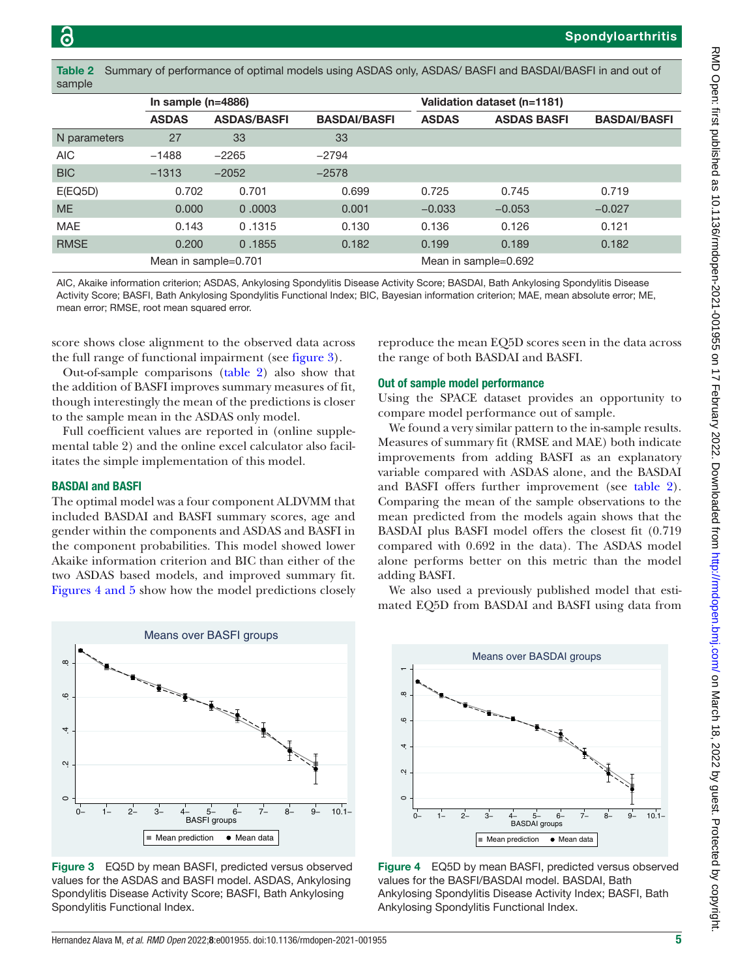Spondyloarthritis

| sample       |                      |                    |                     |                             |                    |                     |  |  |  |  |  |  |
|--------------|----------------------|--------------------|---------------------|-----------------------------|--------------------|---------------------|--|--|--|--|--|--|
|              | In sample $(n=4886)$ |                    |                     | Validation dataset (n=1181) |                    |                     |  |  |  |  |  |  |
|              | <b>ASDAS</b>         | <b>ASDAS/BASFI</b> | <b>BASDAI/BASFI</b> | <b>ASDAS</b>                | <b>ASDAS BASFI</b> | <b>BASDAI/BASFI</b> |  |  |  |  |  |  |
| N parameters | 27                   | 33                 | 33                  |                             |                    |                     |  |  |  |  |  |  |
| <b>AIC</b>   | $-1488$              | $-2265$            | $-2794$             |                             |                    |                     |  |  |  |  |  |  |
| <b>BIC</b>   | $-1313$              | $-2052$            | $-2578$             |                             |                    |                     |  |  |  |  |  |  |
| E(EQ5D)      | 0.702                | 0.701              | 0.699               | 0.725                       | 0.745              | 0.719               |  |  |  |  |  |  |
| <b>ME</b>    | 0.000                | 0.0003             | 0.001               | $-0.033$                    | $-0.053$           | $-0.027$            |  |  |  |  |  |  |
| <b>MAE</b>   | 0.143                | 0.1315             | 0.130               | 0.136                       | 0.126              | 0.121               |  |  |  |  |  |  |
| <b>RMSE</b>  | 0.200                | 0.1855             | 0.182               | 0.199                       | 0.189              | 0.182               |  |  |  |  |  |  |
|              | Mean in sample=0.701 |                    |                     | Mean in sample=0.692        |                    |                     |  |  |  |  |  |  |

<span id="page-4-0"></span>Table 2 Summary of performance of optimal models using ASDAS only, ASDAS/ BASFI and BASDAI/BASFI in and out of

AIC, Akaike information criterion; ASDAS, Ankylosing Spondylitis Disease Activity Score; BASDAI, Bath Ankylosing Spondylitis Disease Activity Score; BASFI, Bath Ankylosing Spondylitis Functional Index; BIC, Bayesian information criterion; MAE, mean absolute error; ME, mean error; RMSE, root mean squared error.

score shows close alignment to the observed data across the full range of functional impairment (see [figure](#page-4-1) 3).

Out-of-sample comparisons ([table](#page-4-0) 2) also show that the addition of BASFI improves summary measures of fit, though interestingly the mean of the predictions is closer to the sample mean in the ASDAS only model.

Full coefficient values are reported in ([online supple](https://dx.doi.org/10.1136/rmdopen-2021-001955)[mental table 2](https://dx.doi.org/10.1136/rmdopen-2021-001955)) and the online excel calculator also facilitates the simple implementation of this model.

#### BASDAI and BASFI

The optimal model was a four component ALDVMM that included BASDAI and BASFI summary scores, age and gender within the components and ASDAS and BASFI in the component probabilities. This model showed lower Akaike information criterion and BIC than either of the two ASDAS based models, and improved summary fit. Figures [4 and 5](#page-4-2) show how the model predictions closely



<span id="page-4-1"></span>Figure 3 EQ5D by mean BASFI, predicted versus observed values for the ASDAS and BASFI model. ASDAS, Ankylosing Spondylitis Disease Activity Score; BASFI, Bath Ankylosing Spondylitis Functional Index.

reproduce the mean EQ5D scores seen in the data across the range of both BASDAI and BASFI.

#### Out of sample model performance

Using the SPACE dataset provides an opportunity to compare model performance out of sample.

We found a very similar pattern to the in-sample results. Measures of summary fit (RMSE and MAE) both indicate improvements from adding BASFI as an explanatory variable compared with ASDAS alone, and the BASDAI and BASFI offers further improvement (see [table](#page-4-0) 2). Comparing the mean of the sample observations to the mean predicted from the models again shows that the BASDAI plus BASFI model offers the closest fit (0.719 compared with 0.692 in the data). The ASDAS model alone performs better on this metric than the model adding BASFI.

We also used a previously published model that estimated EQ5D from BASDAI and BASFI using data from



<span id="page-4-2"></span>Figure 4 EQ5D by mean BASFI, predicted versus observed values for the BASFI/BASDAI model. BASDAI, Bath Ankylosing Spondylitis Disease Activity Index; BASFI, Bath Ankylosing Spondylitis Functional Index.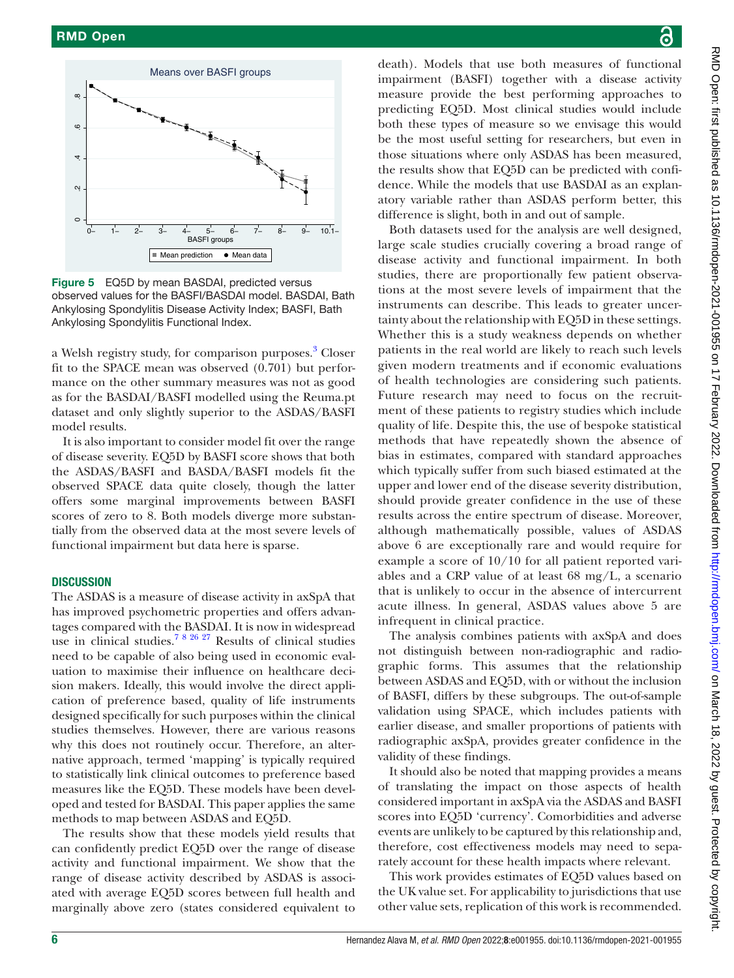

Figure 5 EQ5D by mean BASDAI, predicted versus observed values for the BASFI/BASDAI model. BASDAI, Bath Ankylosing Spondylitis Disease Activity Index; BASFI, Bath Ankylosing Spondylitis Functional Index.

a Welsh registry study, for comparison purposes.<sup>3</sup> Closer fit to the SPACE mean was observed (0.701) but performance on the other summary measures was not as good as for the BASDAI/BASFI modelled using the Reuma.pt dataset and only slightly superior to the ASDAS/BASFI model results.

It is also important to consider model fit over the range of disease severity. EQ5D by BASFI score shows that both the ASDAS/BASFI and BASDA/BASFI models fit the observed SPACE data quite closely, though the latter offers some marginal improvements between BASFI scores of zero to 8. Both models diverge more substantially from the observed data at the most severe levels of functional impairment but data here is sparse.

#### **DISCUSSION**

The ASDAS is a measure of disease activity in axSpA that has improved psychometric properties and offers advantages compared with the BASDAI. It is now in widespread use in clinical studies.<sup>78 26 27</sup> Results of clinical studies need to be capable of also being used in economic evaluation to maximise their influence on healthcare decision makers. Ideally, this would involve the direct application of preference based, quality of life instruments designed specifically for such purposes within the clinical studies themselves. However, there are various reasons why this does not routinely occur. Therefore, an alternative approach, termed 'mapping' is typically required to statistically link clinical outcomes to preference based measures like the EQ5D. These models have been developed and tested for BASDAI. This paper applies the same methods to map between ASDAS and EQ5D.

The results show that these models yield results that can confidently predict EQ5D over the range of disease activity and functional impairment. We show that the range of disease activity described by ASDAS is associated with average EQ5D scores between full health and marginally above zero (states considered equivalent to

death). Models that use both measures of functional impairment (BASFI) together with a disease activity measure provide the best performing approaches to predicting EQ5D. Most clinical studies would include both these types of measure so we envisage this would be the most useful setting for researchers, but even in those situations where only ASDAS has been measured, the results show that EQ5D can be predicted with confidence. While the models that use BASDAI as an explanatory variable rather than ASDAS perform better, this difference is slight, both in and out of sample.

Both datasets used for the analysis are well designed, large scale studies crucially covering a broad range of disease activity and functional impairment. In both studies, there are proportionally few patient observations at the most severe levels of impairment that the instruments can describe. This leads to greater uncertainty about the relationship with EQ5D in these settings. Whether this is a study weakness depends on whether patients in the real world are likely to reach such levels given modern treatments and if economic evaluations of health technologies are considering such patients. Future research may need to focus on the recruitment of these patients to registry studies which include quality of life. Despite this, the use of bespoke statistical methods that have repeatedly shown the absence of bias in estimates, compared with standard approaches which typically suffer from such biased estimated at the upper and lower end of the disease severity distribution, should provide greater confidence in the use of these results across the entire spectrum of disease. Moreover, although mathematically possible, values of ASDAS above 6 are exceptionally rare and would require for example a score of 10/10 for all patient reported variables and a CRP value of at least 68 mg/L, a scenario that is unlikely to occur in the absence of intercurrent acute illness. In general, ASDAS values above 5 are infrequent in clinical practice.

The analysis combines patients with axSpA and does not distinguish between non-radiographic and radiographic forms. This assumes that the relationship between ASDAS and EQ5D, with or without the inclusion of BASFI, differs by these subgroups. The out-of-sample validation using SPACE, which includes patients with earlier disease, and smaller proportions of patients with radiographic axSpA, provides greater confidence in the validity of these findings.

It should also be noted that mapping provides a means of translating the impact on those aspects of health considered important in axSpA via the ASDAS and BASFI scores into EQ5D 'currency'. Comorbidities and adverse events are unlikely to be captured by this relationship and, therefore, cost effectiveness models may need to separately account for these health impacts where relevant.

This work provides estimates of EQ5D values based on the UK value set. For applicability to jurisdictions that use other value sets, replication of this work is recommended.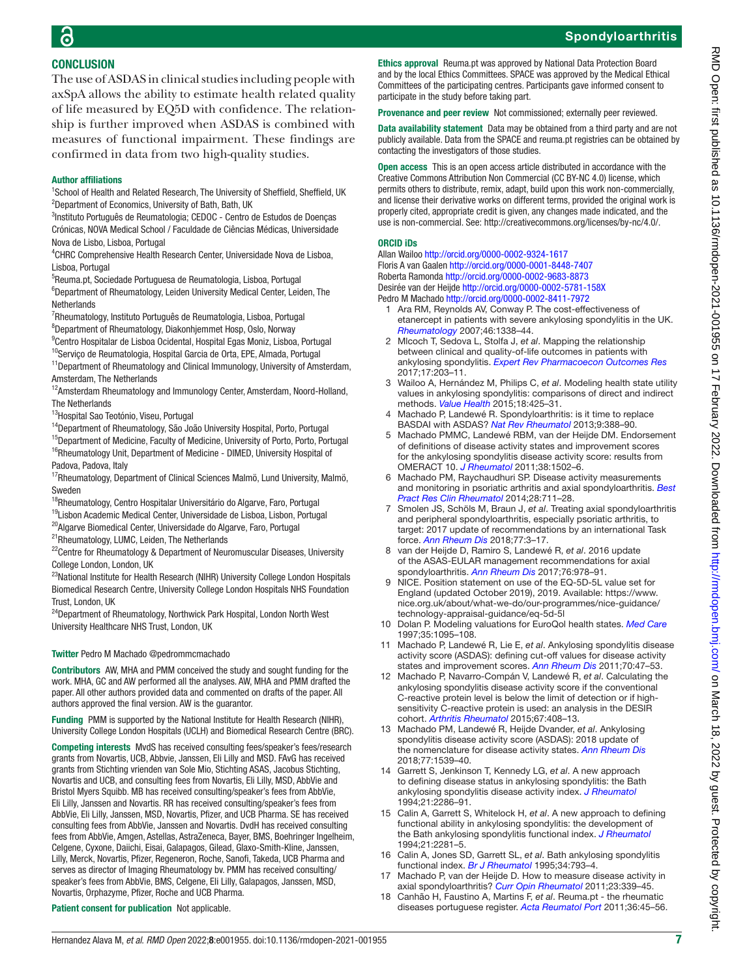## Spondyloarthritis

## **CONCLUSION** The use of ASDAS in clinical studies including people with

axSpA allows the ability to estimate health related quality of life measured by EQ5D with confidence. The relationship is further improved when ASDAS is combined with measures of functional impairment. These findings are confirmed in data from two high-quality studies.

#### Author affiliations

<sup>1</sup>School of Health and Related Research, The University of Sheffield, Sheffield, UK <sup>2</sup>Department of Economics, University of Bath, Bath, UK

<sup>3</sup>Instituto Português de Reumatologia; CEDOC - Centro de Estudos de Doenças Crónicas, NOVA Medical School / Faculdade de Ciências Médicas, Universidade Nova de Lisbo, Lisboa, Portugal

4 CHRC Comprehensive Health Research Center, Universidade Nova de Lisboa, Lisboa, Portugal

5 Reuma.pt, Sociedade Portuguesa de Reumatologia, Lisboa, Portugal

<sup>6</sup>Department of Rheumatology, Leiden University Medical Center, Leiden, The **Netherlands** 

<sup>7</sup>Rheumatology, Instituto Português de Reumatologia, Lisboa, Portugal 8 Department of Rheumatology, Diakonhjemmet Hosp, Oslo, Norway

<sup>9</sup>Centro Hospitalar de Lisboa Ocidental, Hospital Egas Moniz, Lisboa, Portugal

<sup>10</sup>Serviço de Reumatologia, Hospital Garcia de Orta, EPE, Almada, Portugal

<sup>11</sup>Department of Rheumatology and Clinical Immunology, University of Amsterdam, Amsterdam, The Netherlands

<sup>12</sup>Amsterdam Rheumatology and Immunology Center, Amsterdam, Noord-Holland, The Netherlands

13Hospital Sao Teotónio, Viseu, Portugal

<sup>14</sup>Department of Rheumatology, São João University Hospital, Porto, Portugal

<sup>15</sup>Department of Medicine, Faculty of Medicine, University of Porto, Porto, Portugal <sup>16</sup>Rheumatology Unit, Department of Medicine - DIMED, University Hospital of Padova, Padova, Italy

<sup>17</sup>Rheumatology, Department of Clinical Sciences Malmö, Lund University, Malmö, Sweden

18Rheumatology, Centro Hospitalar Universitário do Algarve, Faro, Portugal

<sup>19</sup>Lisbon Academic Medical Center, Universidade de Lisboa, Lisbon, Portugal

20Algarve Biomedical Center, Universidade do Algarve, Faro, Portugal

<sup>21</sup>Rheumatology, LUMC, Leiden, The Netherlands

<sup>22</sup>Centre for Rheumatology & Department of Neuromuscular Diseases, University College London, London, UK

<sup>23</sup>National Institute for Health Research (NIHR) University College London Hospitals Biomedical Research Centre, University College London Hospitals NHS Foundation Trust, London, UK

<sup>24</sup>Department of Rheumatology, Northwick Park Hospital, London North West University Healthcare NHS Trust, London, UK

#### Twitter Pedro M Machado [@pedrommcmachado](https://twitter.com/pedrommcmachado)

Contributors AW, MHA and PMM conceived the study and sought funding for the work. MHA, GC and AW performed all the analyses. AW, MHA and PMM drafted the paper. All other authors provided data and commented on drafts of the paper. All authors approved the final version. AW is the guarantor.

Funding PMM is supported by the National Institute for Health Research (NIHR) University College London Hospitals (UCLH) and Biomedical Research Centre (BRC).

Competing interests MvdS has received consulting fees/speaker's fees/research grants from Novartis, UCB, Abbvie, Janssen, Eli Lilly and MSD. FAvG has received grants from Stichting vrienden van Sole Mio, Stichting ASAS, Jacobus Stichting, Novartis and UCB, and consulting fees from Novartis, Eli Lilly, MSD, AbbVie and Bristol Myers Squibb. MB has received consulting/speaker's fees from AbbVie, Eli Lilly, Janssen and Novartis. RR has received consulting/speaker's fees from AbbVie, Eli Lilly, Janssen, MSD, Novartis, Pfizer, and UCB Pharma. SE has received consulting fees from AbbVie, Janssen and Novartis. DvdH has received consulting fees from AbbVie, Amgen, Astellas, AstraZeneca, Bayer, BMS, Boehringer Ingelheim, Celgene, Cyxone, Daiichi, Eisai, Galapagos, Gilead, Glaxo-Smith-Kline, Janssen, Lilly, Merck, Novartis, Pfizer, Regeneron, Roche, Sanofi, Takeda, UCB Pharma and serves as director of Imaging Rheumatology bv. PMM has received consulting/ speaker's fees from AbbVie, BMS, Celgene, Eli Lilly, Galapagos, Janssen, MSD, Novartis, Orphazyme, Pfizer, Roche and UCB Pharma.

Ethics approval Reuma.pt was approved by National Data Protection Board and by the local Ethics Committees. SPACE was approved by the Medical Ethical Committees of the participating centres. Participants gave informed consent to participate in the study before taking part.

Provenance and peer review Not commissioned; externally peer reviewed.

Data availability statement Data may be obtained from a third party and are not publicly available. Data from the SPACE and reuma.pt registries can be obtained by contacting the investigators of those studies.

Open access This is an open access article distributed in accordance with the Creative Commons Attribution Non Commercial (CC BY-NC 4.0) license, which permits others to distribute, remix, adapt, build upon this work non-commercially, and license their derivative works on different terms, provided the original work is properly cited, appropriate credit is given, any changes made indicated, and the use is non-commercial. See:<http://creativecommons.org/licenses/by-nc/4.0/>.

#### ORCID iDs

Allan Wailoo <http://orcid.org/0000-0002-9324-1617> Floris A van Gaalen<http://orcid.org/0000-0001-8448-7407> Roberta Ramonda <http://orcid.org/0000-0002-9683-8873> Desirée van der Heijde<http://orcid.org/0000-0002-5781-158X> Pedro M Machado<http://orcid.org/0000-0002-8411-7972>

- <span id="page-6-0"></span>1 Ara RM, Reynolds AV, Conway P. The cost-effectiveness of etanercept in patients with severe ankylosing spondylitis in the UK. *[Rheumatology](http://dx.doi.org/10.1093/rheumatology/kem133)* 2007;46:1338–44.
- <span id="page-6-2"></span>2 Mlcoch T, Sedova L, Stolfa J, *et al*. Mapping the relationship between clinical and quality-of-life outcomes in patients with ankylosing spondylitis. *[Expert Rev Pharmacoecon Outcomes Res](http://dx.doi.org/10.1080/14737167.2016.1200468)* 2017;17:203–11.
- <span id="page-6-11"></span>3 Wailoo A, Hernández M, Philips C, *et al*. Modeling health state utility values in ankylosing spondylitis: comparisons of direct and indirect methods. *[Value Health](http://dx.doi.org/10.1016/j.jval.2015.02.016)* 2015;18:425–31.
- <span id="page-6-1"></span>4 Machado P, Landewé R. Spondyloarthritis: is it time to replace BASDAI with ASDAS? *[Nat Rev Rheumatol](http://dx.doi.org/10.1038/nrrheum.2013.93)* 2013;9:388–90.
- 5 Machado PMMC, Landewé RBM, van der Heijde DM. Endorsement of definitions of disease activity states and improvement scores for the ankylosing spondylitis disease activity score: results from OMERACT 10. *[J Rheumatol](http://dx.doi.org/10.3899/jrheum.110279)* 2011;38:1502–6.
- <span id="page-6-5"></span>6 Machado PM, Raychaudhuri SP. Disease activity measurements and monitoring in psoriatic arthritis and axial spondyloarthritis. *[Best](http://dx.doi.org/10.1016/j.berh.2014.10.004)  [Pract Res Clin Rheumatol](http://dx.doi.org/10.1016/j.berh.2014.10.004)* 2014;28:711–28.
- <span id="page-6-12"></span>7 Smolen JS, Schöls M, Braun J, *et al*. Treating axial spondyloarthritis and peripheral spondyloarthritis, especially psoriatic arthritis, to target: 2017 update of recommendations by an international Task force. *[Ann Rheum Dis](http://dx.doi.org/10.1136/annrheumdis-2017-211734)* 2018;77:3–17.
- 8 van der Heijde D, Ramiro S, Landewé R, *et al*. 2016 update of the ASAS-EULAR management recommendations for axial spondyloarthritis. *[Ann Rheum Dis](http://dx.doi.org/10.1136/annrheumdis-2016-210770)* 2017;76:978–91.
- <span id="page-6-3"></span>9 NICE. Position statement on use of the EQ-5D-5L value set for England (updated October 2019), 2019. Available: [https://www.](https://www.nice.org.uk/about/what-we-do/our-programmes/nice-guidance/technology-appraisal-guidance/eq-5d-5l) [nice.org.uk/about/what-we-do/our-programmes/nice-guidance/](https://www.nice.org.uk/about/what-we-do/our-programmes/nice-guidance/technology-appraisal-guidance/eq-5d-5l) [technology-appraisal-guidance/eq-5d-5l](https://www.nice.org.uk/about/what-we-do/our-programmes/nice-guidance/technology-appraisal-guidance/eq-5d-5l)
- <span id="page-6-4"></span>10 Dolan P. Modeling valuations for EuroQol health states. *[Med Care](http://dx.doi.org/10.1097/00005650-199711000-00002)* 1997;35:1095–108.
- <span id="page-6-6"></span>11 Machado P, Landewé R, Lie E, *et al*. Ankylosing spondylitis disease activity score (ASDAS): defining cut-off values for disease activity states and improvement scores. *[Ann Rheum Dis](http://dx.doi.org/10.1136/ard.2010.138594)* 2011;70:47–53.
- 12 Machado P, Navarro-Compán V, Landewé R, *et al*. Calculating the ankylosing spondylitis disease activity score if the conventional C-reactive protein level is below the limit of detection or if highsensitivity C-reactive protein is used: an analysis in the DESIR cohort. *[Arthritis Rheumatol](http://dx.doi.org/10.1002/art.38921)* 2015;67:408–13.
- 13 Machado PM, Landewé R, Heijde Dvander, *et al*. Ankylosing spondylitis disease activity score (ASDAS): 2018 update of the nomenclature for disease activity states. *[Ann Rheum Dis](http://dx.doi.org/10.1136/annrheumdis-2018-213184)* 2018;77:1539–40.
- <span id="page-6-7"></span>14 Garrett S, Jenkinson T, Kennedy LG, *et al*. A new approach to defining disease status in ankylosing spondylitis: the Bath ankylosing spondylitis disease activity index. *[J Rheumatol](http://www.ncbi.nlm.nih.gov/pubmed/7699630)* 1994;21:2286–91.
- <span id="page-6-8"></span>15 Calin A, Garrett S, Whitelock H, *et al*. A new approach to defining functional ability in ankylosing spondylitis: the development of the Bath ankylosing spondylitis functional index. *[J Rheumatol](http://www.ncbi.nlm.nih.gov/pubmed/7699629)* 1994;21:2281–5.
- 16 Calin A, Jones SD, Garrett SL, *et al*. Bath ankylosing spondylitis functional index. *[Br J Rheumatol](http://dx.doi.org/10.1093/rheumatology/34.8.793)* 1995;34:793–4.
- <span id="page-6-9"></span>17 Machado P, van der Heijde D. How to measure disease activity in axial spondyloarthritis? *[Curr Opin Rheumatol](http://dx.doi.org/10.1097/BOR.0b013e3283470f23)* 2011;23:339–45.
- <span id="page-6-10"></span>18 Canhão H, Faustino A, Martins F, *et al*. Reuma.pt - the rheumatic diseases portuguese register. *[Acta Reumatol Port](http://www.ncbi.nlm.nih.gov/pubmed/21483280)* 2011;36:45–56.

RMD Open: first published as 10.1136/rmdopen-2021-001955 on 17 February 2022. Downloaded from http://rmdopen.bmj.com/ on March 18, 2022 by guest. Protected by copyright RMD Open: tirst published as 10.1136/rmdopen-2021-001955 on 17 February 2022. Downloaded from mtp://rmdopen.bmj.com/ on March 18, 2022 by guest. Protected by copyright.

Patient consent for publication Not applicable.